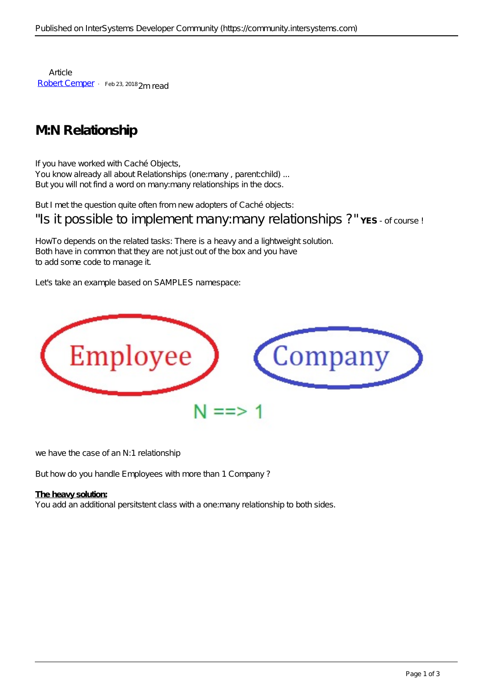**Article** [Robert Cemper](https://community.intersystems.com/user/robert-cemper-0) · Feb 23, 2018 2m read

## **M:N Relationship**

If you have worked with Caché Objects, You know already all about Relationships (one:many, parent:child) ... But you will not find a word on many:many relationships in the docs.

But I met the question quite often from new adopters of Caché objects:

"Is it possible to implement many: many relationships ?"YES - of course !

HowTo depends on the related tasks: There is a heavy and a lightweight solution. Both have in common that they are not just out of the box and you have to add some code to manage it.

Let's take an example based on SAMPLES namespace:



we have the case of an N:1 relationship

But how do you handle Employees with more than 1 Company ?

## **The heavy solution:**

You add an additional persitstent class with a one: many relationship to both sides.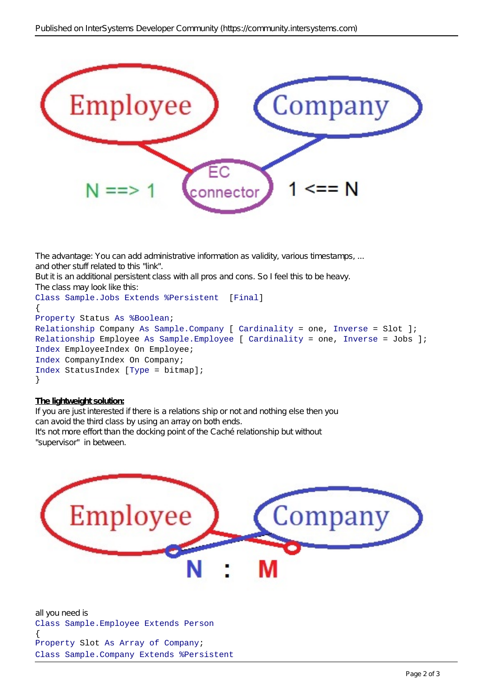

The advantage: You can add administrative information as validity, various timestamps, ... and other stuff related to this "link". Butitis an additional persistent class with all pros and cons. So I feel this to be heavy. The class may look like this: Class Sample.Jobs Extends %Persistent [Final] { Property Status As %Boolean; Relationship Company As Sample.Company [ Cardinality = one, Inverse = Slot ]; Relationship Employee As Sample.Employee [ Cardinality = one, Inverse = Jobs ]; Index EmployeeIndex On Employee;

Index CompanyIndex On Company;

Index StatusIndex [Type = bitmap]; }

## **The lightweight solution:**

If you are just interested if there is a relations ship or not and nothing else then you can avoid the third class by using an array on both ends. It's not more effort than the docking point of the Caché relationship but without "supervisor" in between.



all you need is Class Sample.Employee Extends Person { Property Slot As Array of Company; Class Sample.Company Extends %Persistent